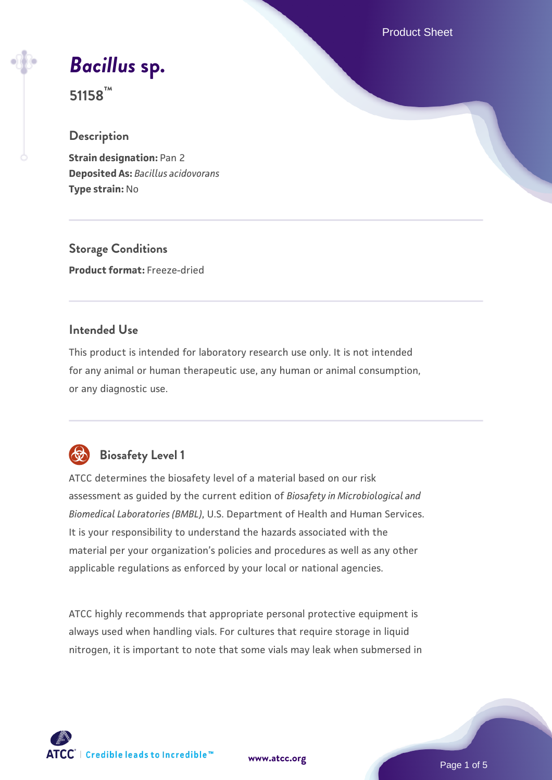Product Sheet

*[Bacillus](https://www.atcc.org/products/51158)* **[sp.](https://www.atcc.org/products/51158)**

**51158™**

#### **Description**

**Strain designation:** Pan 2 **Deposited As:** *Bacillus acidovorans* **Type strain:** No

**Storage Conditions Product format:** Freeze-dried

## **Intended Use**

This product is intended for laboratory research use only. It is not intended for any animal or human therapeutic use, any human or animal consumption, or any diagnostic use.



## **Biosafety Level 1**

ATCC determines the biosafety level of a material based on our risk assessment as guided by the current edition of *Biosafety in Microbiological and Biomedical Laboratories (BMBL)*, U.S. Department of Health and Human Services. It is your responsibility to understand the hazards associated with the material per your organization's policies and procedures as well as any other applicable regulations as enforced by your local or national agencies.

ATCC highly recommends that appropriate personal protective equipment is always used when handling vials. For cultures that require storage in liquid nitrogen, it is important to note that some vials may leak when submersed in

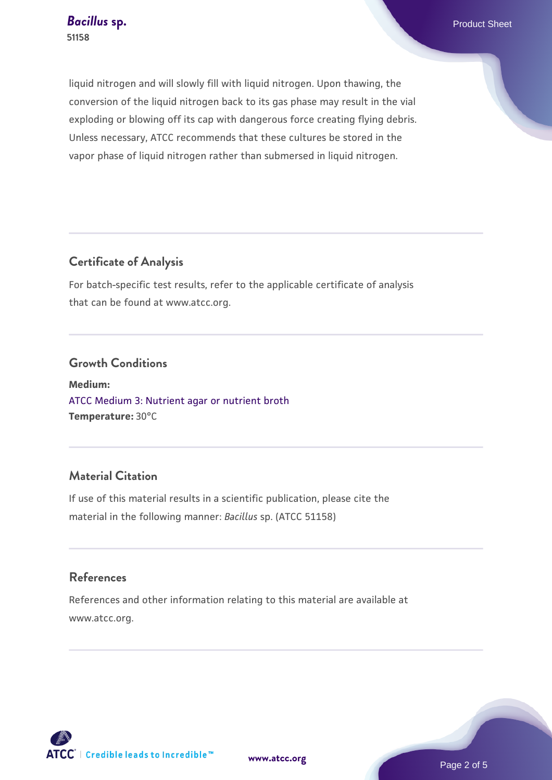liquid nitrogen and will slowly fill with liquid nitrogen. Upon thawing, the conversion of the liquid nitrogen back to its gas phase may result in the vial exploding or blowing off its cap with dangerous force creating flying debris. Unless necessary, ATCC recommends that these cultures be stored in the vapor phase of liquid nitrogen rather than submersed in liquid nitrogen.

## **Certificate of Analysis**

For batch-specific test results, refer to the applicable certificate of analysis that can be found at www.atcc.org.

#### **Growth Conditions**

**Medium:**  [ATCC Medium 3: Nutrient agar or nutrient broth](https://www.atcc.org/-/media/product-assets/documents/microbial-media-formulations/3/atcc-medium-3.pdf?rev=7510837507e64d849c62a46b5b2197a1) **Temperature:** 30°C

## **Material Citation**

If use of this material results in a scientific publication, please cite the material in the following manner: *Bacillus* sp. (ATCC 51158)

## **References**

References and other information relating to this material are available at www.atcc.org.

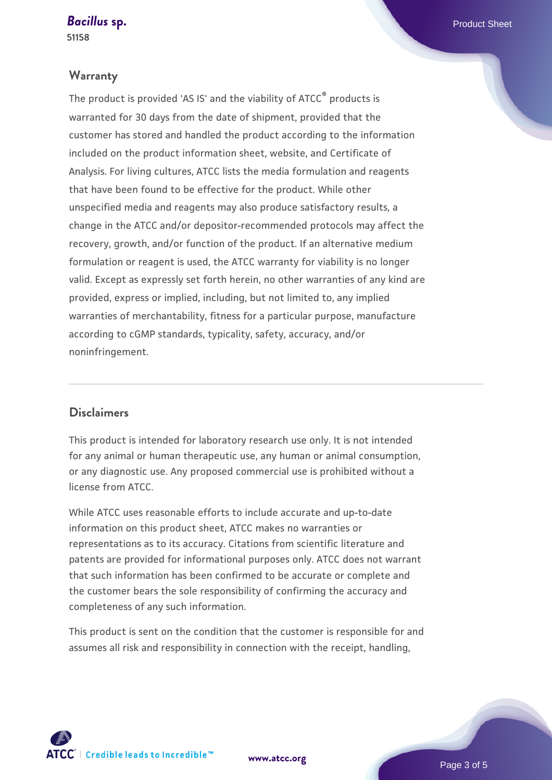**[Bacillus](https://www.atcc.org/products/51158) [sp.](https://www.atcc.org/products/51158)** Product Sheet

**51158**

#### **Warranty**

The product is provided 'AS IS' and the viability of ATCC® products is warranted for 30 days from the date of shipment, provided that the customer has stored and handled the product according to the information included on the product information sheet, website, and Certificate of Analysis. For living cultures, ATCC lists the media formulation and reagents that have been found to be effective for the product. While other unspecified media and reagents may also produce satisfactory results, a change in the ATCC and/or depositor-recommended protocols may affect the recovery, growth, and/or function of the product. If an alternative medium formulation or reagent is used, the ATCC warranty for viability is no longer valid. Except as expressly set forth herein, no other warranties of any kind are provided, express or implied, including, but not limited to, any implied warranties of merchantability, fitness for a particular purpose, manufacture according to cGMP standards, typicality, safety, accuracy, and/or noninfringement.

#### **Disclaimers**

This product is intended for laboratory research use only. It is not intended for any animal or human therapeutic use, any human or animal consumption, or any diagnostic use. Any proposed commercial use is prohibited without a license from ATCC.

While ATCC uses reasonable efforts to include accurate and up-to-date information on this product sheet, ATCC makes no warranties or representations as to its accuracy. Citations from scientific literature and patents are provided for informational purposes only. ATCC does not warrant that such information has been confirmed to be accurate or complete and the customer bears the sole responsibility of confirming the accuracy and completeness of any such information.

This product is sent on the condition that the customer is responsible for and assumes all risk and responsibility in connection with the receipt, handling,



**[www.atcc.org](http://www.atcc.org)**

Page 3 of 5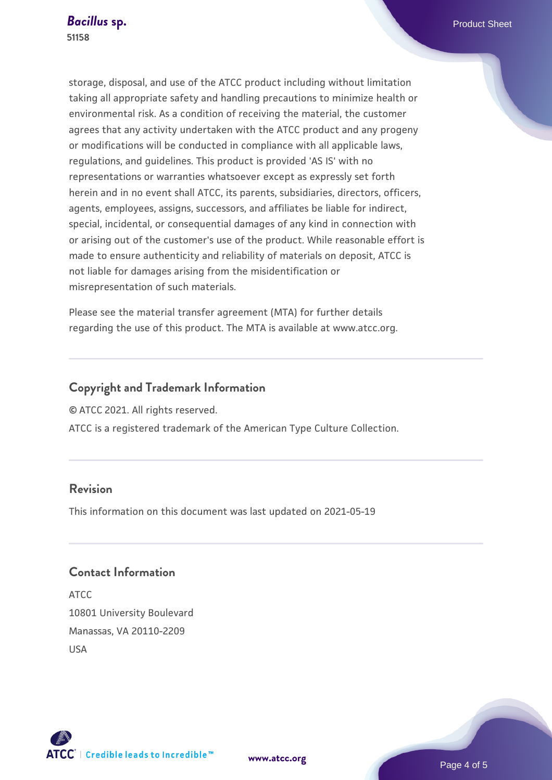storage, disposal, and use of the ATCC product including without limitation taking all appropriate safety and handling precautions to minimize health or environmental risk. As a condition of receiving the material, the customer agrees that any activity undertaken with the ATCC product and any progeny or modifications will be conducted in compliance with all applicable laws, regulations, and guidelines. This product is provided 'AS IS' with no representations or warranties whatsoever except as expressly set forth herein and in no event shall ATCC, its parents, subsidiaries, directors, officers, agents, employees, assigns, successors, and affiliates be liable for indirect, special, incidental, or consequential damages of any kind in connection with or arising out of the customer's use of the product. While reasonable effort is made to ensure authenticity and reliability of materials on deposit, ATCC is not liable for damages arising from the misidentification or misrepresentation of such materials.

Please see the material transfer agreement (MTA) for further details regarding the use of this product. The MTA is available at www.atcc.org.

## **Copyright and Trademark Information**

© ATCC 2021. All rights reserved.

ATCC is a registered trademark of the American Type Culture Collection.

## **Revision**

This information on this document was last updated on 2021-05-19

## **Contact Information**

ATCC 10801 University Boulevard Manassas, VA 20110-2209 USA